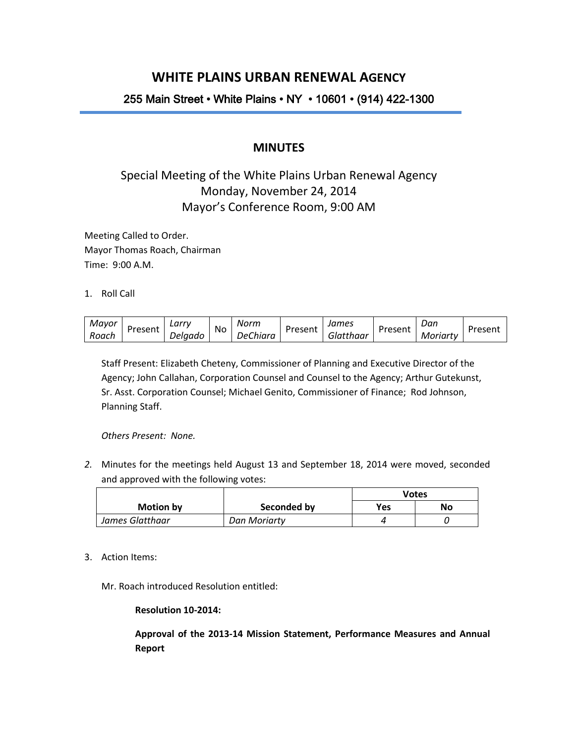## **WHITE PLAINS URBAN RENEWAL AGENCY**

## 255 Main Street • White Plains • NY • 10601 • (914) 422-1300

### **MINUTES**

# Special Meeting of the White Plains Urban Renewal Agency Monday, November 24, 2014 Mayor's Conference Room, 9:00 AM

Meeting Called to Order. Mayor Thomas Roach, Chairman Time: 9:00 A.M.

1. Roll Call

| Mayor |         | ∟arrv   | No | Norm            |         | James     |         | Dan      | Present |  |
|-------|---------|---------|----|-----------------|---------|-----------|---------|----------|---------|--|
| Roach | Present | Delaado |    | <b>DeChiara</b> | Present | Glatthaar | Present | Moriartv |         |  |

Staff Present: Elizabeth Cheteny, Commissioner of Planning and Executive Director of the Agency; John Callahan, Corporation Counsel and Counsel to the Agency; Arthur Gutekunst, Sr. Asst. Corporation Counsel; Michael Genito, Commissioner of Finance; Rod Johnson, Planning Staff.

*Others Present: None.*

*2.* Minutes for the meetings held August 13 and September 18, 2014 were moved, seconded and approved with the following votes:

|                  |              | <b>Votes</b> |    |
|------------------|--------------|--------------|----|
| <b>Motion by</b> | Seconded by  | Yes          | No |
| James Glatthaar  | Dan Moriarty |              |    |

3. Action Items:

Mr. Roach introduced Resolution entitled:

#### **Resolution 10-2014:**

**Approval of the 2013-14 Mission Statement, Performance Measures and Annual Report**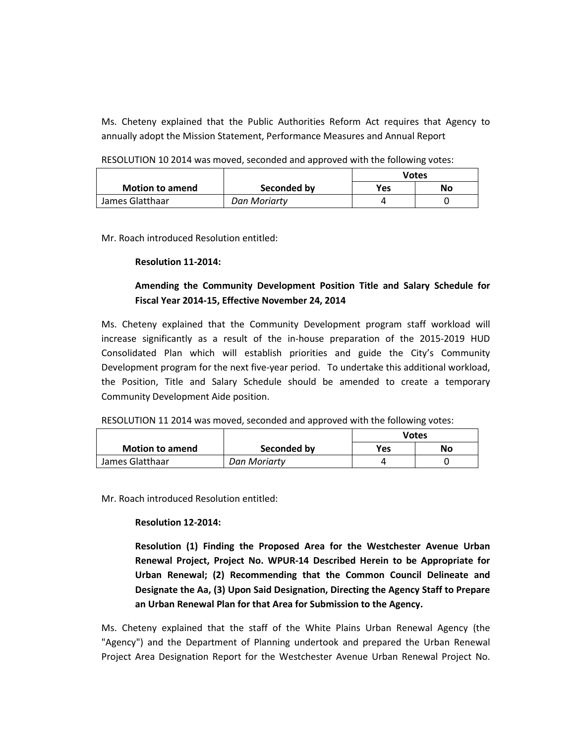Ms. Cheteny explained that the Public Authorities Reform Act requires that Agency to annually adopt the Mission Statement, Performance Measures and Annual Report

RESOLUTION 10 2014 was moved, seconded and approved with the following votes:

|                        |              | Votes |    |
|------------------------|--------------|-------|----|
| <b>Motion to amend</b> | Seconded by  | Yes   | No |
| James Glatthaar        | Dan Moriarty |       |    |

Mr. Roach introduced Resolution entitled:

#### **Resolution 11-2014:**

### **Amending the Community Development Position Title and Salary Schedule for Fiscal Year 2014-15, Effective November 24, 2014**

Ms. Cheteny explained that the Community Development program staff workload will increase significantly as a result of the in-house preparation of the 2015-2019 HUD Consolidated Plan which will establish priorities and guide the City's Community Development program for the next five-year period. To undertake this additional workload, the Position, Title and Salary Schedule should be amended to create a temporary Community Development Aide position.

|                        |              | Votes      |    |
|------------------------|--------------|------------|----|
| <b>Motion to amend</b> | Seconded by  | <b>Yes</b> | No |
| James Glatthaar        | Dan Moriarty |            |    |

Mr. Roach introduced Resolution entitled:

#### **Resolution 12-2014:**

**Resolution (1) Finding the Proposed Area for the Westchester Avenue Urban Renewal Project, Project No. WPUR-14 Described Herein to be Appropriate for Urban Renewal; (2) Recommending that the Common Council Delineate and Designate the Aa, (3) Upon Said Designation, Directing the Agency Staff to Prepare an Urban Renewal Plan for that Area for Submission to the Agency.**

Ms. Cheteny explained that the staff of the White Plains Urban Renewal Agency (the "Agency") and the Department of Planning undertook and prepared the Urban Renewal Project Area Designation Report for the Westchester Avenue Urban Renewal Project No.